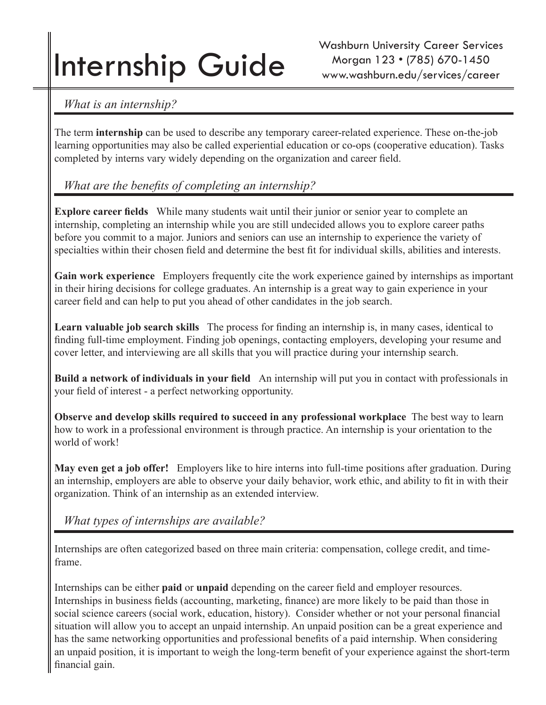# Internship Guide

 *What is an internship?*

The term **internship** can be used to describe any temporary career-related experience. These on-the-job learning opportunities may also be called experiential education or co-ops (cooperative education). Tasks completed by interns vary widely depending on the organization and career field.

## *What are the benefits of completing an internship?*

**Explore career fields** While many students wait until their junior or senior year to complete an internship, completing an internship while you are still undecided allows you to explore career paths before you commit to a major. Juniors and seniors can use an internship to experience the variety of specialties within their chosen field and determine the best fit for individual skills, abilities and interests.

**Gain work experience** Employers frequently cite the work experience gained by internships as important in their hiring decisions for college graduates. An internship is a great way to gain experience in your career field and can help to put you ahead of other candidates in the job search.

**Learn valuable job search skills** The process for finding an internship is, in many cases, identical to finding full-time employment. Finding job openings, contacting employers, developing your resume and cover letter, and interviewing are all skills that you will practice during your internship search.

**Build a network of individuals in your field** An internship will put you in contact with professionals in your field of interest - a perfect networking opportunity.

**Observe and develop skills required to succeed in any professional workplace** The best way to learn how to work in a professional environment is through practice. An internship is your orientation to the world of work!

**May even get a job offer!** Employers like to hire interns into full-time positions after graduation. During an internship, employers are able to observe your daily behavior, work ethic, and ability to fit in with their organization. Think of an internship as an extended interview.

 *What types of internships are available?*

Internships are often categorized based on three main criteria: compensation, college credit, and timeframe.

Internships can be either **paid** or **unpaid** depending on the career field and employer resources. Internships in business fields (accounting, marketing, finance) are more likely to be paid than those in social science careers (social work, education, history). Consider whether or not your personal financial situation will allow you to accept an unpaid internship. An unpaid position can be a great experience and has the same networking opportunities and professional benefits of a paid internship. When considering an unpaid position, it is important to weigh the long-term benefit of your experience against the short-term financial gain.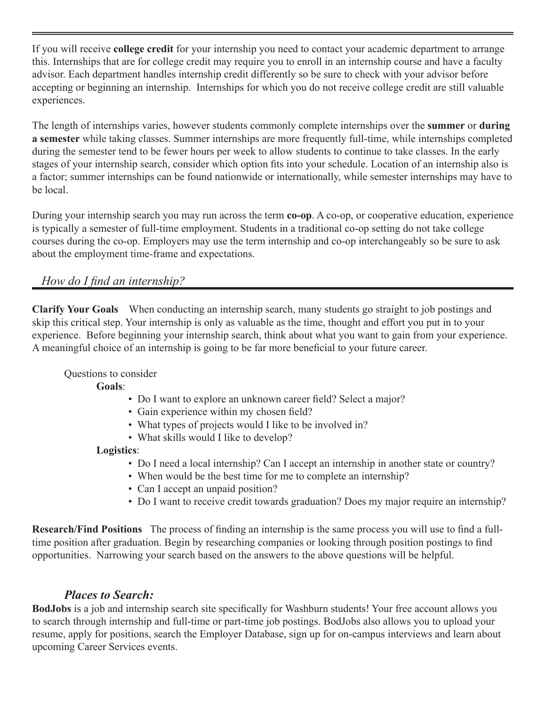If you will receive **college credit** for your internship you need to contact your academic department to arrange this. Internships that are for college credit may require you to enroll in an internship course and have a faculty advisor. Each department handles internship credit differently so be sure to check with your advisor before accepting or beginning an internship. Internships for which you do not receive college credit are still valuable experiences.

The length of internships varies, however students commonly complete internships over the **summer** or **during a semester** while taking classes. Summer internships are more frequently full-time, while internships completed during the semester tend to be fewer hours per week to allow students to continue to take classes. In the early stages of your internship search, consider which option fits into your schedule. Location of an internship also is a factor; summer internships can be found nationwide or internationally, while semester internships may have to be local.

During your internship search you may run across the term **co-op**. A co-op, or cooperative education, experience is typically a semester of full-time employment. Students in a traditional co-op setting do not take college courses during the co-op. Employers may use the term internship and co-op interchangeably so be sure to ask about the employment time-frame and expectations.

## *How do I find an internship?*

**Clarify Your Goals** When conducting an internship search, many students go straight to job postings and skip this critical step. Your internship is only as valuable as the time, thought and effort you put in to your experience. Before beginning your internship search, think about what you want to gain from your experience. A meaningful choice of an internship is going to be far more beneficial to your future career.

#### Questions to consider

#### **Goals**:

- Do I want to explore an unknown career field? Select a major?
- Gain experience within my chosen field?
- What types of projects would I like to be involved in?
- What skills would I like to develop?

#### **Logistics**:

- Do I need a local internship? Can I accept an internship in another state or country?
- When would be the best time for me to complete an internship?
- Can I accept an unpaid position?
- Do I want to receive credit towards graduation? Does my major require an internship?

**Research/Find Positions** The process of finding an internship is the same process you will use to find a fulltime position after graduation. Begin by researching companies or looking through position postings to find opportunities. Narrowing your search based on the answers to the above questions will be helpful.

## *Places to Search:*

**BodJobs** is a job and internship search site specifically for Washburn students! Your free account allows you to search through internship and full-time or part-time job postings. BodJobs also allows you to upload your resume, apply for positions, search the Employer Database, sign up for on-campus interviews and learn about upcoming Career Services events.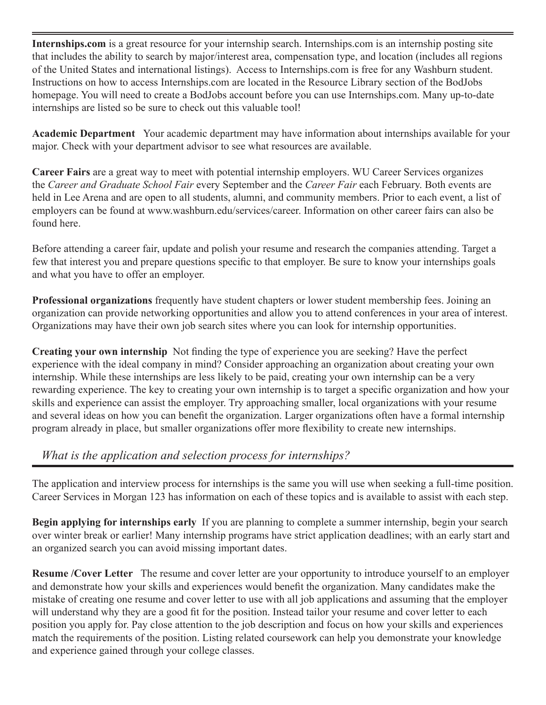**Internships.com** is a great resource for your internship search. Internships.com is an internship posting site that includes the ability to search by major/interest area, compensation type, and location (includes all regions of the United States and international listings). Access to Internships.com is free for any Washburn student. Instructions on how to access Internships.com are located in the Resource Library section of the BodJobs homepage. You will need to create a BodJobs account before you can use Internships.com. Many up-to-date internships are listed so be sure to check out this valuable tool!

**Academic Department** Your academic department may have information about internships available for your major. Check with your department advisor to see what resources are available.

**Career Fairs** are a great way to meet with potential internship employers. WU Career Services organizes the *Career and Graduate School Fair* every September and the *Career Fair* each February. Both events are held in Lee Arena and are open to all students, alumni, and community members. Prior to each event, a list of employers can be found at www.washburn.edu/services/career. Information on other career fairs can also be found here.

Before attending a career fair, update and polish your resume and research the companies attending. Target a few that interest you and prepare questions specific to that employer. Be sure to know your internships goals and what you have to offer an employer.

**Professional organizations** frequently have student chapters or lower student membership fees. Joining an organization can provide networking opportunities and allow you to attend conferences in your area of interest. Organizations may have their own job search sites where you can look for internship opportunities.

**Creating your own internship** Not finding the type of experience you are seeking? Have the perfect experience with the ideal company in mind? Consider approaching an organization about creating your own internship. While these internships are less likely to be paid, creating your own internship can be a very rewarding experience. The key to creating your own internship is to target a specific organization and how your skills and experience can assist the employer. Try approaching smaller, local organizations with your resume and several ideas on how you can benefit the organization. Larger organizations often have a formal internship program already in place, but smaller organizations offer more flexibility to create new internships.

## *What is the application and selection process for internships?*

The application and interview process for internships is the same you will use when seeking a full-time position. Career Services in Morgan 123 has information on each of these topics and is available to assist with each step.

**Begin applying for internships early** If you are planning to complete a summer internship, begin your search over winter break or earlier! Many internship programs have strict application deadlines; with an early start and an organized search you can avoid missing important dates.

**Resume /Cover Letter** The resume and cover letter are your opportunity to introduce yourself to an employer and demonstrate how your skills and experiences would benefit the organization. Many candidates make the mistake of creating one resume and cover letter to use with all job applications and assuming that the employer will understand why they are a good fit for the position. Instead tailor your resume and cover letter to each position you apply for. Pay close attention to the job description and focus on how your skills and experiences match the requirements of the position. Listing related coursework can help you demonstrate your knowledge and experience gained through your college classes.